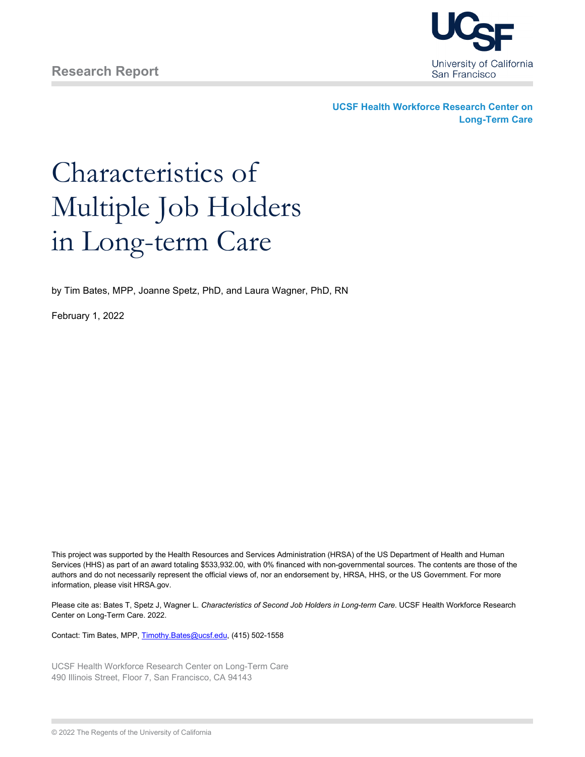

**UCSF Health Workforce Research Center on Long-Term Care**

# Characteristics of Multiple Job Holders in Long-term Care

by Tim Bates, MPP, Joanne Spetz, PhD, and Laura Wagner, PhD, RN

February 1, 2022

This project was supported by the Health Resources and Services Administration (HRSA) of the US Department of Health and Human Services (HHS) as part of an award totaling \$533,932.00, with 0% financed with non-governmental sources. The contents are those of the authors and do not necessarily represent the official views of, nor an endorsement by, HRSA, HHS, or the US Government. For more information, please visit HRSA.gov.

Please cite as: Bates T, Spetz J, Wagner L. *Characteristics of Second Job Holders in Long-term Care*. UCSF Health Workforce Research Center on Long-Term Care. 2022.

Contact: Tim Bates, MPP[, Timothy.Bates@ucsf.edu,](mailto:Timothy.Bates@ucsf.edu) (415) 502-1558

UCSF Health Workforce Research Center on Long-Term Care 490 Illinois Street, Floor 7, San Francisco, CA 94143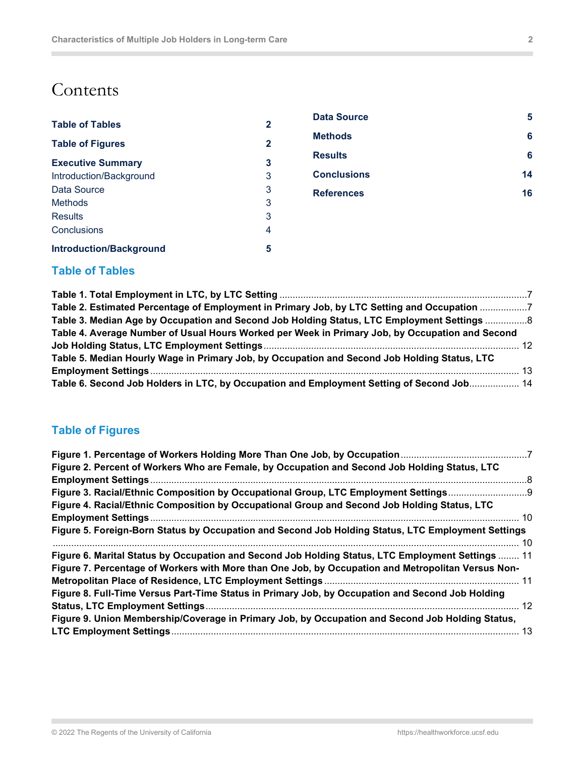## **Contents**

 $\mathbb{R}^2$ 

| $\mathbf 2$  | Dala SU        |
|--------------|----------------|
| $\mathbf{2}$ | <b>Methods</b> |
| 3            | <b>Results</b> |
| 3            | <b>Conclus</b> |
| 3            | <b>Referen</b> |
| 3            |                |
| 3            |                |
| 4            |                |
| 5            |                |
|              |                |

**[Data Source](#page-4-1) 5 [Methods](#page-5-0) 6 [Results](#page-5-1) 6 [Conclusions](#page-13-0) 14 [References](#page-15-0) 16**

## <span id="page-1-0"></span>**Table of Tables**

| Table 2. Estimated Percentage of Employment in Primary Job, by LTC Setting and Occupation 7     |  |
|-------------------------------------------------------------------------------------------------|--|
| Table 3. Median Age by Occupation and Second Job Holding Status, LTC Employment Settings  8     |  |
| Table 4. Average Number of Usual Hours Worked per Week in Primary Job, by Occupation and Second |  |
|                                                                                                 |  |
| Table 5. Median Hourly Wage in Primary Job, by Occupation and Second Job Holding Status, LTC    |  |
|                                                                                                 |  |
| Table 6. Second Job Holders in LTC, by Occupation and Employment Setting of Second Job 14       |  |

## <span id="page-1-1"></span>**Table of Figures**

| Figure 2. Percent of Workers Who are Female, by Occupation and Second Job Holding Status, LTC      |     |
|----------------------------------------------------------------------------------------------------|-----|
|                                                                                                    | - 8 |
| Figure 3. Racial/Ethnic Composition by Occupational Group, LTC Employment Settings                 |     |
| Figure 4. Racial/Ethnic Composition by Occupational Group and Second Job Holding Status, LTC       |     |
|                                                                                                    |     |
| Figure 5. Foreign-Born Status by Occupation and Second Job Holding Status, LTC Employment Settings |     |
|                                                                                                    |     |
| Figure 6. Marital Status by Occupation and Second Job Holding Status, LTC Employment Settings  11  |     |
| Figure 7. Percentage of Workers with More than One Job, by Occupation and Metropolitan Versus Non- |     |
|                                                                                                    |     |
| Figure 8. Full-Time Versus Part-Time Status in Primary Job, by Occupation and Second Job Holding   |     |
|                                                                                                    |     |
| Figure 9. Union Membership/Coverage in Primary Job, by Occupation and Second Job Holding Status,   |     |
|                                                                                                    |     |
|                                                                                                    |     |

**COL**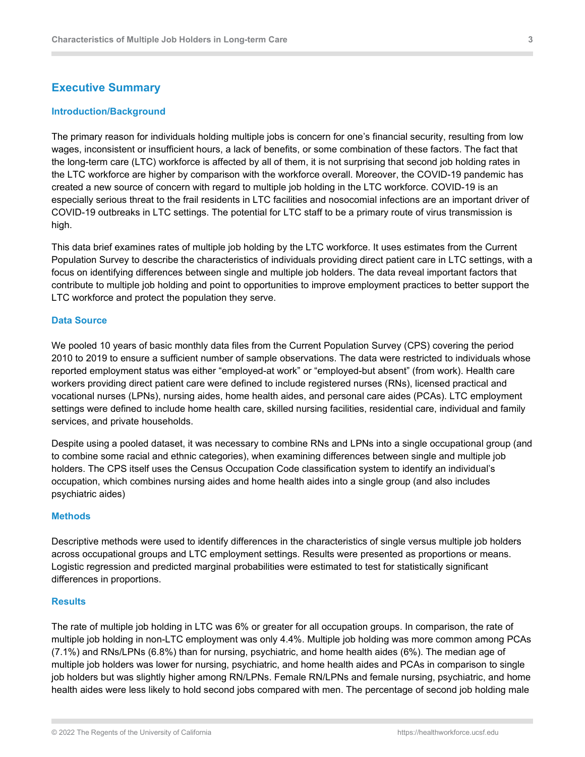#### <span id="page-2-0"></span>**Executive Summary**

#### <span id="page-2-1"></span>**Introduction/Background**

The primary reason for individuals holding multiple jobs is concern for one's financial security, resulting from low wages, inconsistent or insufficient hours, a lack of benefits, or some combination of these factors. The fact that the long-term care (LTC) workforce is affected by all of them, it is not surprising that second job holding rates in the LTC workforce are higher by comparison with the workforce overall. Moreover, the COVID-19 pandemic has created a new source of concern with regard to multiple job holding in the LTC workforce. COVID-19 is an especially serious threat to the frail residents in LTC facilities and nosocomial infections are an important driver of COVID-19 outbreaks in LTC settings. The potential for LTC staff to be a primary route of virus transmission is high.

This data brief examines rates of multiple job holding by the LTC workforce. It uses estimates from the Current Population Survey to describe the characteristics of individuals providing direct patient care in LTC settings, with a focus on identifying differences between single and multiple job holders. The data reveal important factors that contribute to multiple job holding and point to opportunities to improve employment practices to better support the LTC workforce and protect the population they serve.

#### <span id="page-2-2"></span>**Data Source**

We pooled 10 years of basic monthly data files from the Current Population Survey (CPS) covering the period 2010 to 2019 to ensure a sufficient number of sample observations. The data were restricted to individuals whose reported employment status was either "employed-at work" or "employed-but absent" (from work). Health care workers providing direct patient care were defined to include registered nurses (RNs), licensed practical and vocational nurses (LPNs), nursing aides, home health aides, and personal care aides (PCAs). LTC employment settings were defined to include home health care, skilled nursing facilities, residential care, individual and family services, and private households.

Despite using a pooled dataset, it was necessary to combine RNs and LPNs into a single occupational group (and to combine some racial and ethnic categories), when examining differences between single and multiple job holders. The CPS itself uses the Census Occupation Code classification system to identify an individual's occupation, which combines nursing aides and home health aides into a single group (and also includes psychiatric aides)

#### <span id="page-2-3"></span>**Methods**

Descriptive methods were used to identify differences in the characteristics of single versus multiple job holders across occupational groups and LTC employment settings. Results were presented as proportions or means. Logistic regression and predicted marginal probabilities were estimated to test for statistically significant differences in proportions.

#### <span id="page-2-4"></span>**Results**

The rate of multiple job holding in LTC was 6% or greater for all occupation groups. In comparison, the rate of multiple job holding in non-LTC employment was only 4.4%. Multiple job holding was more common among PCAs (7.1%) and RNs/LPNs (6.8%) than for nursing, psychiatric, and home health aides (6%). The median age of multiple job holders was lower for nursing, psychiatric, and home health aides and PCAs in comparison to single job holders but was slightly higher among RN/LPNs. Female RN/LPNs and female nursing, psychiatric, and home health aides were less likely to hold second jobs compared with men. The percentage of second job holding male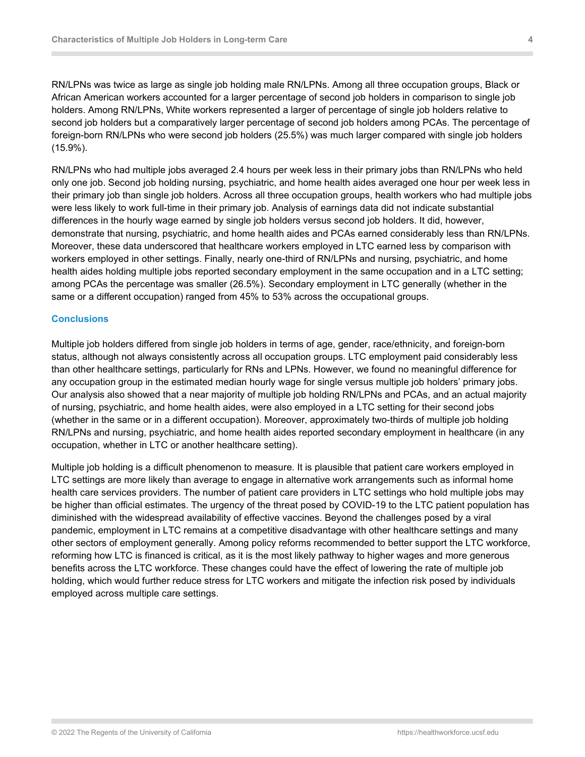RN/LPNs was twice as large as single job holding male RN/LPNs. Among all three occupation groups, Black or African American workers accounted for a larger percentage of second job holders in comparison to single job holders. Among RN/LPNs, White workers represented a larger of percentage of single job holders relative to second job holders but a comparatively larger percentage of second job holders among PCAs. The percentage of foreign-born RN/LPNs who were second job holders (25.5%) was much larger compared with single job holders (15.9%).

RN/LPNs who had multiple jobs averaged 2.4 hours per week less in their primary jobs than RN/LPNs who held only one job. Second job holding nursing, psychiatric, and home health aides averaged one hour per week less in their primary job than single job holders. Across all three occupation groups, health workers who had multiple jobs were less likely to work full-time in their primary job. Analysis of earnings data did not indicate substantial differences in the hourly wage earned by single job holders versus second job holders. It did, however, demonstrate that nursing, psychiatric, and home health aides and PCAs earned considerably less than RN/LPNs. Moreover, these data underscored that healthcare workers employed in LTC earned less by comparison with workers employed in other settings. Finally, nearly one-third of RN/LPNs and nursing, psychiatric, and home health aides holding multiple jobs reported secondary employment in the same occupation and in a LTC setting; among PCAs the percentage was smaller (26.5%). Secondary employment in LTC generally (whether in the same or a different occupation) ranged from 45% to 53% across the occupational groups.

#### <span id="page-3-0"></span>**Conclusions**

Multiple job holders differed from single job holders in terms of age, gender, race/ethnicity, and foreign-born status, although not always consistently across all occupation groups. LTC employment paid considerably less than other healthcare settings, particularly for RNs and LPNs. However, we found no meaningful difference for any occupation group in the estimated median hourly wage for single versus multiple job holders' primary jobs. Our analysis also showed that a near majority of multiple job holding RN/LPNs and PCAs, and an actual majority of nursing, psychiatric, and home health aides, were also employed in a LTC setting for their second jobs (whether in the same or in a different occupation). Moreover, approximately two-thirds of multiple job holding RN/LPNs and nursing, psychiatric, and home health aides reported secondary employment in healthcare (in any occupation, whether in LTC or another healthcare setting).

Multiple job holding is a difficult phenomenon to measure. It is plausible that patient care workers employed in LTC settings are more likely than average to engage in alternative work arrangements such as informal home health care services providers. The number of patient care providers in LTC settings who hold multiple jobs may be higher than official estimates. The urgency of the threat posed by COVID-19 to the LTC patient population has diminished with the widespread availability of effective vaccines. Beyond the challenges posed by a viral pandemic, employment in LTC remains at a competitive disadvantage with other healthcare settings and many other sectors of employment generally. Among policy reforms recommended to better support the LTC workforce, reforming how LTC is financed is critical, as it is the most likely pathway to higher wages and more generous benefits across the LTC workforce. These changes could have the effect of lowering the rate of multiple job holding, which would further reduce stress for LTC workers and mitigate the infection risk posed by individuals employed across multiple care settings.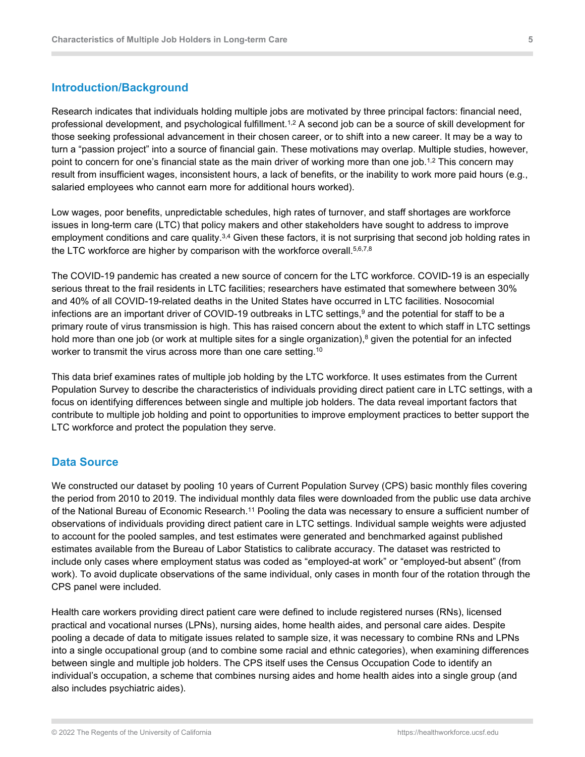#### <span id="page-4-0"></span>**Introduction/Background**

Research indicates that individuals holding multiple jobs are motivated by three principal factors: financial need, professional development, and psychological fulfillment.1,2 A second job can be a source of skill development for those seeking professional advancement in their chosen career, or to shift into a new career. It may be a way to turn a "passion project" into a source of financial gain. These motivations may overlap. Multiple studies, however, point to concern for one's financial state as the main driver of working more than one job.1,2 This concern may result from insufficient wages, inconsistent hours, a lack of benefits, or the inability to work more paid hours (e.g., salaried employees who cannot earn more for additional hours worked).

Low wages, poor benefits, unpredictable schedules, high rates of turnover, and staff shortages are workforce issues in long-term care (LTC) that policy makers and other stakeholders have sought to address to improve employment conditions and care quality.<sup>3,4</sup> Given these factors, it is not surprising that second job holding rates in the LTC workforce are higher by comparison with the workforce overall. 5,6,7,8

The COVID-19 pandemic has created a new source of concern for the LTC workforce. COVID-19 is an especially serious threat to the frail residents in LTC facilities; researchers have estimated that somewhere between 30% and 40% of all COVID-19-related deaths in the United States have occurred in LTC facilities. Nosocomial infections are an important driver of COVID-19 outbreaks in LTC settings, <sup>9</sup> and the potential for staff to be a primary route of virus transmission is high. This has raised concern about the extent to which staff in LTC settings hold more than one job (or work at multiple sites for a single organization), <sup>8</sup> given the potential for an infected worker to transmit the virus across more than one care setting.<sup>10</sup>

This data brief examines rates of multiple job holding by the LTC workforce. It uses estimates from the Current Population Survey to describe the characteristics of individuals providing direct patient care in LTC settings, with a focus on identifying differences between single and multiple job holders. The data reveal important factors that contribute to multiple job holding and point to opportunities to improve employment practices to better support the LTC workforce and protect the population they serve.

#### <span id="page-4-1"></span>**Data Source**

We constructed our dataset by pooling 10 years of Current Population Survey (CPS) basic monthly files covering the period from 2010 to 2019. The individual monthly data files were downloaded from the public use data archive of the National Bureau of Economic Research.11 Pooling the data was necessary to ensure a sufficient number of observations of individuals providing direct patient care in LTC settings. Individual sample weights were adjusted to account for the pooled samples, and test estimates were generated and benchmarked against published estimates available from the Bureau of Labor Statistics to calibrate accuracy. The dataset was restricted to include only cases where employment status was coded as "employed-at work" or "employed-but absent" (from work). To avoid duplicate observations of the same individual, only cases in month four of the rotation through the CPS panel were included.

Health care workers providing direct patient care were defined to include registered nurses (RNs), licensed practical and vocational nurses (LPNs), nursing aides, home health aides, and personal care aides. Despite pooling a decade of data to mitigate issues related to sample size, it was necessary to combine RNs and LPNs into a single occupational group (and to combine some racial and ethnic categories), when examining differences between single and multiple job holders. The CPS itself uses the Census Occupation Code to identify an individual's occupation, a scheme that combines nursing aides and home health aides into a single group (and also includes psychiatric aides).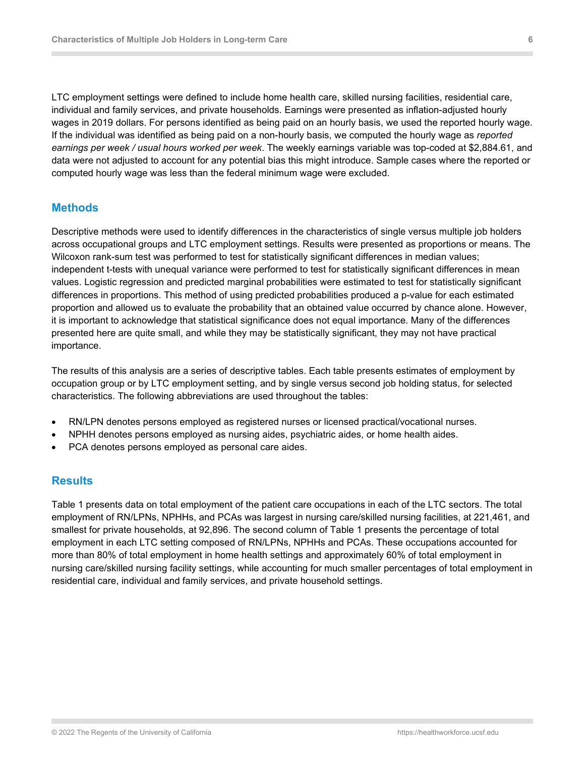LTC employment settings were defined to include home health care, skilled nursing facilities, residential care, individual and family services, and private households. Earnings were presented as inflation-adjusted hourly wages in 2019 dollars. For persons identified as being paid on an hourly basis, we used the reported hourly wage. If the individual was identified as being paid on a non-hourly basis, we computed the hourly wage as *reported earnings per week / usual hours worked per week*. The weekly earnings variable was top-coded at \$2,884.61, and data were not adjusted to account for any potential bias this might introduce. Sample cases where the reported or computed hourly wage was less than the federal minimum wage were excluded.

#### <span id="page-5-0"></span>**Methods**

Descriptive methods were used to identify differences in the characteristics of single versus multiple job holders across occupational groups and LTC employment settings. Results were presented as proportions or means. The Wilcoxon rank-sum test was performed to test for statistically significant differences in median values; independent t-tests with unequal variance were performed to test for statistically significant differences in mean values. Logistic regression and predicted marginal probabilities were estimated to test for statistically significant differences in proportions. This method of using predicted probabilities produced a p-value for each estimated proportion and allowed us to evaluate the probability that an obtained value occurred by chance alone. However, it is important to acknowledge that statistical significance does not equal importance. Many of the differences presented here are quite small, and while they may be statistically significant, they may not have practical importance.

The results of this analysis are a series of descriptive tables. Each table presents estimates of employment by occupation group or by LTC employment setting, and by single versus second job holding status, for selected characteristics. The following abbreviations are used throughout the tables:

- RN/LPN denotes persons employed as registered nurses or licensed practical/vocational nurses.
- NPHH denotes persons employed as nursing aides, psychiatric aides, or home health aides.
- PCA denotes persons employed as personal care aides.

#### <span id="page-5-1"></span>**Results**

Table 1 presents data on total employment of the patient care occupations in each of the LTC sectors. The total employment of RN/LPNs, NPHHs, and PCAs was largest in nursing care/skilled nursing facilities, at 221,461, and smallest for private households, at 92,896. The second column of Table 1 presents the percentage of total employment in each LTC setting composed of RN/LPNs, NPHHs and PCAs. These occupations accounted for more than 80% of total employment in home health settings and approximately 60% of total employment in nursing care/skilled nursing facility settings, while accounting for much smaller percentages of total employment in residential care, individual and family services, and private household settings.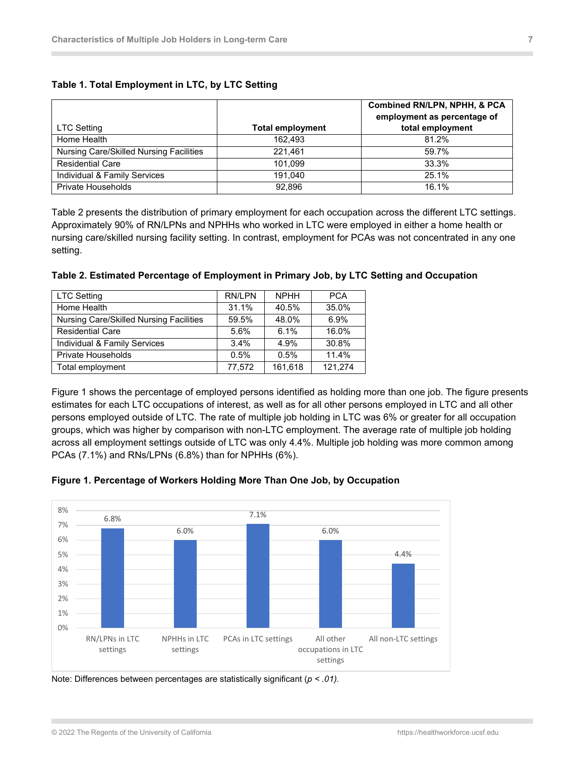| LTC Setting                             | <b>Total employment</b> | Combined RN/LPN, NPHH, & PC<br>employment as percentage of<br>total employment |
|-----------------------------------------|-------------------------|--------------------------------------------------------------------------------|
| Home Health                             | 162.493                 | 81.2%                                                                          |
| Nursing Care/Skilled Nursing Facilities | 221.461                 | 59.7%                                                                          |
| <b>Residential Care</b>                 | 101.099                 | 33.3%                                                                          |
| Individual & Family Services            | 191.040                 | 25.1%                                                                          |
| <b>Private Households</b>               | 92.896                  | 16.1%                                                                          |

#### <span id="page-6-0"></span>**Table 1. Total Employment in LTC, by LTC Setting**

Table 2 presents the distribution of primary employment for each occupation across the different LTC settings. Approximately 90% of RN/LPNs and NPHHs who worked in LTC were employed in either a home health or nursing care/skilled nursing facility setting. In contrast, employment for PCAs was not concentrated in any one setting.

| <b>LTC Setting</b>                      | RN/LPN | <b>NPHH</b> | <b>PCA</b> |
|-----------------------------------------|--------|-------------|------------|
| Home Health                             | 31.1%  | 40.5%       | 35.0%      |
| Nursing Care/Skilled Nursing Facilities | 59.5%  | 48.0%       | 6.9%       |
| <b>Residential Care</b>                 | 5.6%   | 6.1%        | 16.0%      |
| Individual & Family Services            | 3.4%   | 4.9%        | 30.8%      |
| <b>Private Households</b>               | 0.5%   | 0.5%        | 11.4%      |
| Total employment                        | 77,572 | 161,618     | 121,274    |

#### <span id="page-6-1"></span>**Table 2. Estimated Percentage of Employment in Primary Job, by LTC Setting and Occupation**

Figure 1 shows the percentage of employed persons identified as holding more than one job. The figure presents estimates for each LTC occupations of interest, as well as for all other persons employed in LTC and all other persons employed outside of LTC. The rate of multiple job holding in LTC was 6% or greater for all occupation groups, which was higher by comparison with non-LTC employment. The average rate of multiple job holding across all employment settings outside of LTC was only 4.4%. Multiple job holding was more common among PCAs (7.1%) and RNs/LPNs (6.8%) than for NPHHs (6%).

<span id="page-6-2"></span>



Note: Differences between percentages are statistically significant (*p < .01).*

**PCA**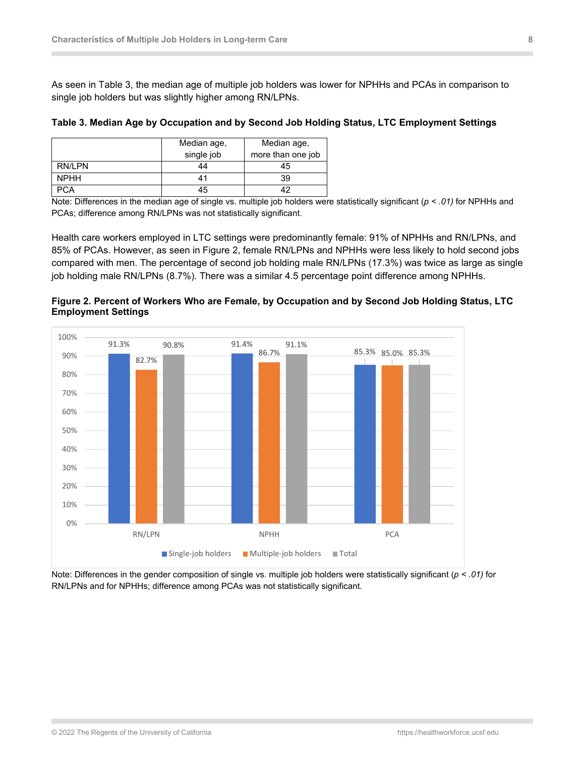As seen in Table 3, the median age of multiple job holders was lower for NPHHs and PCAs in comparison to single job holders but was slightly higher among RN/LPNs.

|             | Median age,<br>single job | Median age,<br>more than one job |
|-------------|---------------------------|----------------------------------|
| RN/LPN      | 44                        | 45                               |
| <b>NPHH</b> | 41                        | 39                               |
| $\cdot$ CA  | 45                        |                                  |

#### <span id="page-7-0"></span>**Table 3. Median Age by Occupation and by Second Job Holding Status, LTC Employment Settings**

Note: Differences in the median age of single vs. multiple job holders were statistically significant (*p < .01)* for NPHHs and PCAs; difference among RN/LPNs was not statistically significant.

Health care workers employed in LTC settings were predominantly female: 91% of NPHHs and RN/LPNs, and 85% of PCAs. However, as seen in Figure 2, female RN/LPNs and NPHHs were less likely to hold second jobs compared with men. The percentage of second job holding male RN/LPNs (17.3%) was twice as large as single job holding male RN/LPNs (8.7%). There was a similar 4.5 percentage point difference among NPHHs.



<span id="page-7-1"></span>**Figure 2. Percent of Workers Who are Female, by Occupation and by Second Job Holding Status, LTC Employment Settings**

Note: Differences in the gender composition of single vs. multiple job holders were statistically significant (*p < .01)* for RN/LPNs and for NPHHs; difference among PCAs was not statistically significant*.*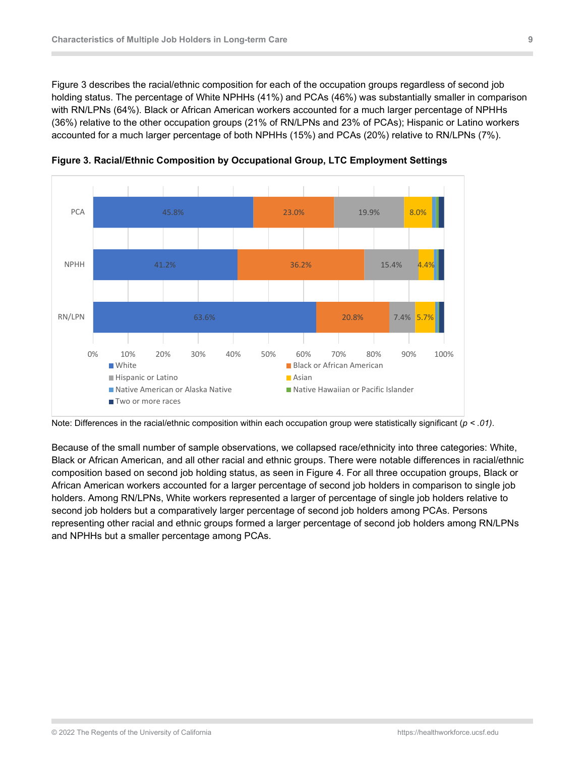Figure 3 describes the racial/ethnic composition for each of the occupation groups regardless of second job holding status. The percentage of White NPHHs (41%) and PCAs (46%) was substantially smaller in comparison with RN/LPNs (64%). Black or African American workers accounted for a much larger percentage of NPHHs (36%) relative to the other occupation groups (21% of RN/LPNs and 23% of PCAs); Hispanic or Latino workers accounted for a much larger percentage of both NPHHs (15%) and PCAs (20%) relative to RN/LPNs (7%).



<span id="page-8-0"></span>**Figure 3. Racial/Ethnic Composition by Occupational Group, LTC Employment Settings**

Because of the small number of sample observations, we collapsed race/ethnicity into three categories: White, Black or African American, and all other racial and ethnic groups. There were notable differences in racial/ethnic composition based on second job holding status, as seen in Figure 4. For all three occupation groups, Black or African American workers accounted for a larger percentage of second job holders in comparison to single job holders. Among RN/LPNs, White workers represented a larger of percentage of single job holders relative to second job holders but a comparatively larger percentage of second job holders among PCAs. Persons representing other racial and ethnic groups formed a larger percentage of second job holders among RN/LPNs and NPHHs but a smaller percentage among PCAs.

Note: Differences in the racial/ethnic composition within each occupation group were statistically significant (*p < .01)*.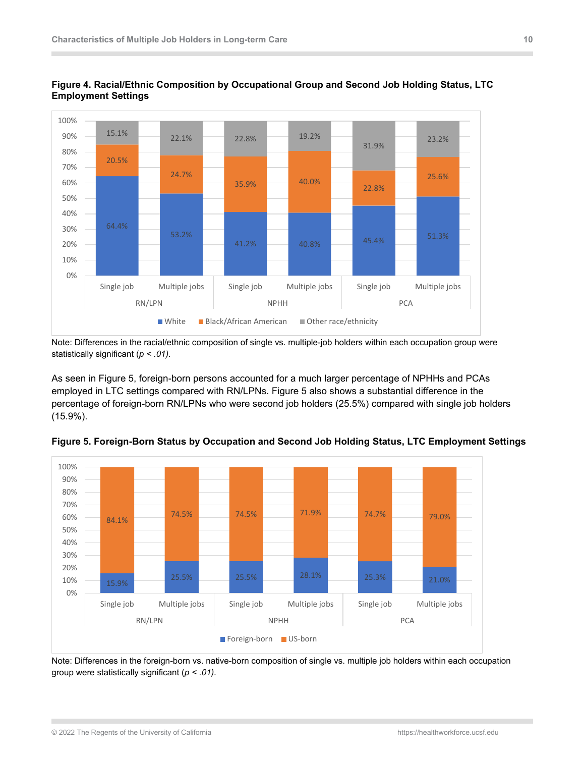

<span id="page-9-0"></span>

Note: Differences in the racial/ethnic composition of single vs. multiple-job holders within each occupation group were statistically significant (*p < .01)*.

As seen in Figure 5, foreign-born persons accounted for a much larger percentage of NPHHs and PCAs employed in LTC settings compared with RN/LPNs. Figure 5 also shows a substantial difference in the percentage of foreign-born RN/LPNs who were second job holders (25.5%) compared with single job holders (15.9%).



<span id="page-9-1"></span>**Figure 5. Foreign-Born Status by Occupation and Second Job Holding Status, LTC Employment Settings**

Note: Differences in the foreign-born vs. native-born composition of single vs. multiple job holders within each occupation group were statistically significant (*p < .01)*.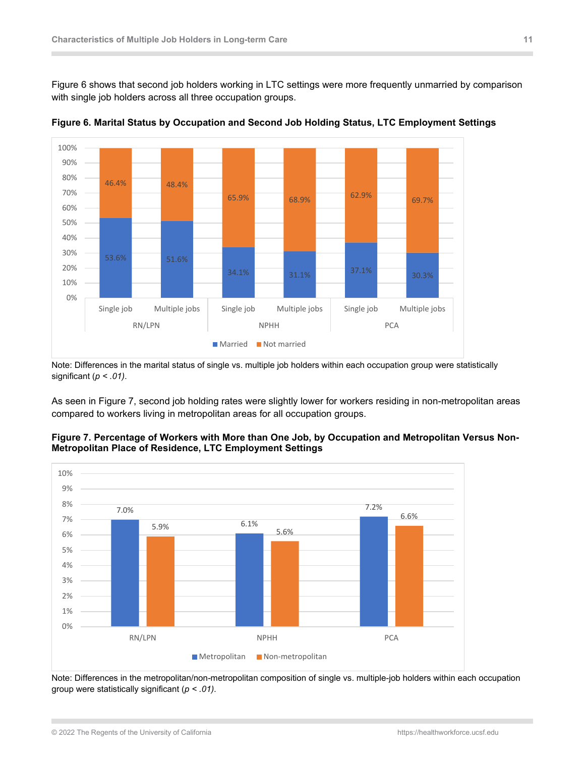Figure 6 shows that second job holders working in LTC settings were more frequently unmarried by comparison with single job holders across all three occupation groups.



<span id="page-10-0"></span>**Figure 6. Marital Status by Occupation and Second Job Holding Status, LTC Employment Settings**

Note: Differences in the marital status of single vs. multiple job holders within each occupation group were statistically significant (*p < .01)*.

As seen in Figure 7, second job holding rates were slightly lower for workers residing in non-metropolitan areas compared to workers living in metropolitan areas for all occupation groups.



#### <span id="page-10-1"></span>**Figure 7. Percentage of Workers with More than One Job, by Occupation and Metropolitan Versus Non-Metropolitan Place of Residence, LTC Employment Settings**

Note: Differences in the metropolitan/non-metropolitan composition of single vs. multiple-job holders within each occupation group were statistically significant (*p < .01)*.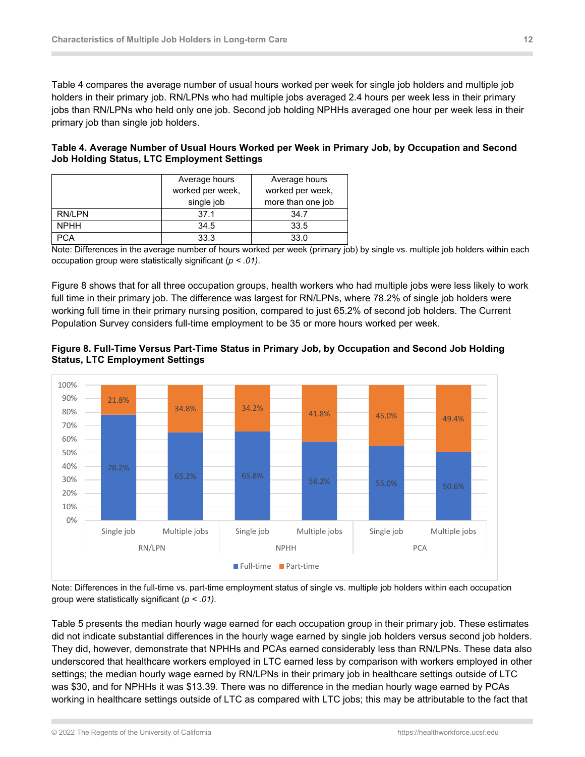Table 4 compares the average number of usual hours worked per week for single job holders and multiple job holders in their primary job. RN/LPNs who had multiple jobs averaged 2.4 hours per week less in their primary jobs than RN/LPNs who held only one job. Second job holding NPHHs averaged one hour per week less in their primary job than single job holders.

#### <span id="page-11-0"></span>**Table 4. Average Number of Usual Hours Worked per Week in Primary Job, by Occupation and Second Job Holding Status, LTC Employment Settings**

|             | Average hours                        | Average hours     |
|-------------|--------------------------------------|-------------------|
|             | worked per week,<br>worked per week, |                   |
|             | single job                           | more than one job |
| RN/LPN      | 37.1                                 | 34.7              |
| <b>NPHH</b> | 34.5                                 | 33.5              |
|             | 33.3                                 | 33.0              |

Note: Differences in the average number of hours worked per week (primary job) by single vs. multiple job holders within each occupation group were statistically significant (*p < .01)*.

Figure 8 shows that for all three occupation groups, health workers who had multiple jobs were less likely to work full time in their primary job. The difference was largest for RN/LPNs, where 78.2% of single job holders were working full time in their primary nursing position, compared to just 65.2% of second job holders. The Current Population Survey considers full-time employment to be 35 or more hours worked per week.



#### <span id="page-11-1"></span>**Figure 8. Full-Time Versus Part-Time Status in Primary Job, by Occupation and Second Job Holding Status, LTC Employment Settings**

Note: Differences in the full-time vs. part-time employment status of single vs. multiple job holders within each occupation group were statistically significant (*p < .01)*.

Table 5 presents the median hourly wage earned for each occupation group in their primary job. These estimates did not indicate substantial differences in the hourly wage earned by single job holders versus second job holders. They did, however, demonstrate that NPHHs and PCAs earned considerably less than RN/LPNs. These data also underscored that healthcare workers employed in LTC earned less by comparison with workers employed in other settings; the median hourly wage earned by RN/LPNs in their primary job in healthcare settings outside of LTC was \$30, and for NPHHs it was \$13.39. There was no difference in the median hourly wage earned by PCAs working in healthcare settings outside of LTC as compared with LTC jobs; this may be attributable to the fact that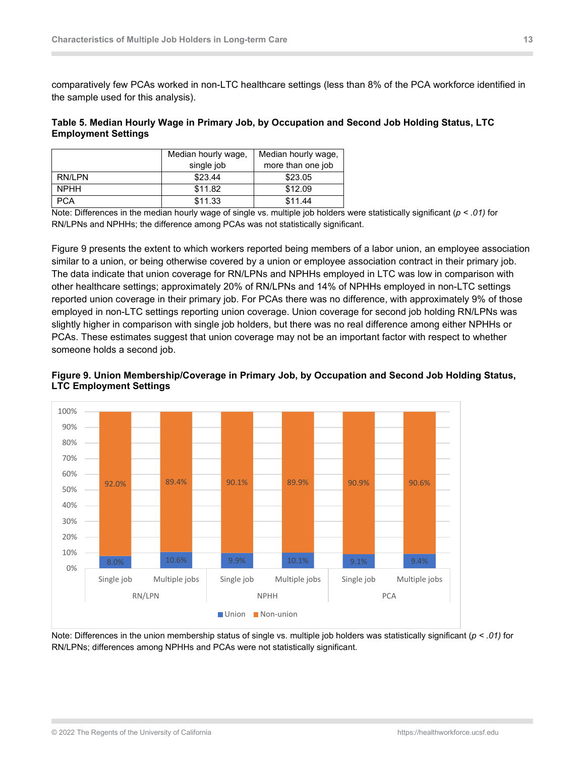comparatively few PCAs worked in non-LTC healthcare settings (less than 8% of the PCA workforce identified in the sample used for this analysis).

#### <span id="page-12-0"></span>**Table 5. Median Hourly Wage in Primary Job, by Occupation and Second Job Holding Status, LTC Employment Settings**

|             | Median hourly wage,             | Median hourly wage, |
|-------------|---------------------------------|---------------------|
|             | more than one job<br>single job |                     |
| RN/LPN      | \$23.44                         | \$23.05             |
| <b>NPHH</b> | \$11.82                         | \$12.09             |
| <b>PCA</b>  | \$11.33                         | \$11.44             |

Note: Differences in the median hourly wage of single vs. multiple job holders were statistically significant (*p < .01)* for RN/LPNs and NPHHs; the difference among PCAs was not statistically significant.

Figure 9 presents the extent to which workers reported being members of a labor union, an employee association similar to a union, or being otherwise covered by a union or employee association contract in their primary job. The data indicate that union coverage for RN/LPNs and NPHHs employed in LTC was low in comparison with other healthcare settings; approximately 20% of RN/LPNs and 14% of NPHHs employed in non-LTC settings reported union coverage in their primary job. For PCAs there was no difference, with approximately 9% of those employed in non-LTC settings reporting union coverage. Union coverage for second job holding RN/LPNs was slightly higher in comparison with single job holders, but there was no real difference among either NPHHs or PCAs. These estimates suggest that union coverage may not be an important factor with respect to whether someone holds a second job.



#### <span id="page-12-1"></span>**Figure 9. Union Membership/Coverage in Primary Job, by Occupation and Second Job Holding Status, LTC Employment Settings**

Note: Differences in the union membership status of single vs. multiple job holders was statistically significant (*p < .01)* for RN/LPNs; differences among NPHHs and PCAs were not statistically significant.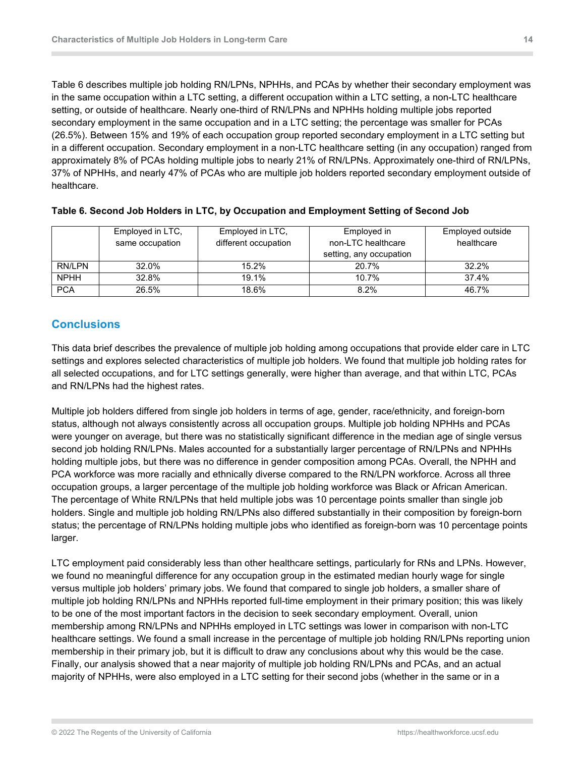Table 6 describes multiple job holding RN/LPNs, NPHHs, and PCAs by whether their secondary employment was in the same occupation within a LTC setting, a different occupation within a LTC setting, a non-LTC healthcare setting, or outside of healthcare. Nearly one-third of RN/LPNs and NPHHs holding multiple jobs reported secondary employment in the same occupation and in a LTC setting; the percentage was smaller for PCAs (26.5%). Between 15% and 19% of each occupation group reported secondary employment in a LTC setting but in a different occupation. Secondary employment in a non-LTC healthcare setting (in any occupation) ranged from approximately 8% of PCAs holding multiple jobs to nearly 21% of RN/LPNs. Approximately one-third of RN/LPNs, 37% of NPHHs, and nearly 47% of PCAs who are multiple job holders reported secondary employment outside of healthcare.

|             | Employed in LTC, | Employed in LTC,     | Employed in             | Employed outside |
|-------------|------------------|----------------------|-------------------------|------------------|
|             | same occupation  | different occupation | non-LTC healthcare      | healthcare       |
|             |                  |                      | setting, any occupation |                  |
| RN/LPN      | 32.0%            | 15.2%                | 20.7%                   | 32.2%            |
| <b>NPHH</b> | 32.8%            | 19.1%                | 10.7%                   | 37.4%            |
| <b>PCA</b>  | 26.5%            | 18.6%                | 8.2%                    | 46.7%            |

#### <span id="page-13-1"></span>**Table 6. Second Job Holders in LTC, by Occupation and Employment Setting of Second Job**

### <span id="page-13-0"></span>**Conclusions**

This data brief describes the prevalence of multiple job holding among occupations that provide elder care in LTC settings and explores selected characteristics of multiple job holders. We found that multiple job holding rates for all selected occupations, and for LTC settings generally, were higher than average, and that within LTC, PCAs and RN/LPNs had the highest rates.

Multiple job holders differed from single job holders in terms of age, gender, race/ethnicity, and foreign-born status, although not always consistently across all occupation groups. Multiple job holding NPHHs and PCAs were younger on average, but there was no statistically significant difference in the median age of single versus second job holding RN/LPNs. Males accounted for a substantially larger percentage of RN/LPNs and NPHHs holding multiple jobs, but there was no difference in gender composition among PCAs. Overall, the NPHH and PCA workforce was more racially and ethnically diverse compared to the RN/LPN workforce. Across all three occupation groups, a larger percentage of the multiple job holding workforce was Black or African American. The percentage of White RN/LPNs that held multiple jobs was 10 percentage points smaller than single job holders. Single and multiple job holding RN/LPNs also differed substantially in their composition by foreign-born status; the percentage of RN/LPNs holding multiple jobs who identified as foreign-born was 10 percentage points larger.

LTC employment paid considerably less than other healthcare settings, particularly for RNs and LPNs. However, we found no meaningful difference for any occupation group in the estimated median hourly wage for single versus multiple job holders' primary jobs. We found that compared to single job holders, a smaller share of multiple job holding RN/LPNs and NPHHs reported full-time employment in their primary position; this was likely to be one of the most important factors in the decision to seek secondary employment. Overall, union membership among RN/LPNs and NPHHs employed in LTC settings was lower in comparison with non-LTC healthcare settings. We found a small increase in the percentage of multiple job holding RN/LPNs reporting union membership in their primary job, but it is difficult to draw any conclusions about why this would be the case. Finally, our analysis showed that a near majority of multiple job holding RN/LPNs and PCAs, and an actual majority of NPHHs, were also employed in a LTC setting for their second jobs (whether in the same or in a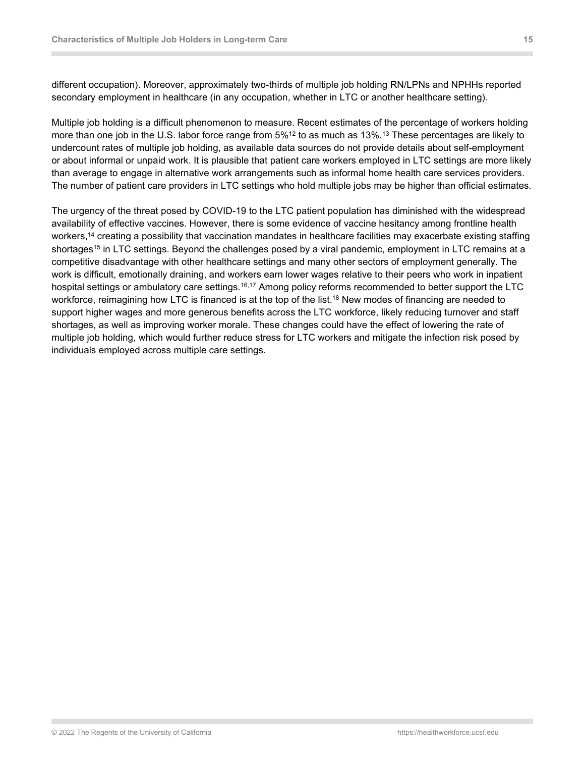different occupation). Moreover, approximately two-thirds of multiple job holding RN/LPNs and NPHHs reported secondary employment in healthcare (in any occupation, whether in LTC or another healthcare setting).

Multiple job holding is a difficult phenomenon to measure. Recent estimates of the percentage of workers holding more than one job in the U.S. labor force range from 5% $^{12}$  to as much as 13%. $^{13}$  These percentages are likely to undercount rates of multiple job holding, as available data sources do not provide details about self-employment or about informal or unpaid work. It is plausible that patient care workers employed in LTC settings are more likely than average to engage in alternative work arrangements such as informal home health care services providers. The number of patient care providers in LTC settings who hold multiple jobs may be higher than official estimates.

The urgency of the threat posed by COVID-19 to the LTC patient population has diminished with the widespread availability of effective vaccines. However, there is some evidence of vaccine hesitancy among frontline health workers,<sup>14</sup> creating a possibility that vaccination mandates in healthcare facilities may exacerbate existing staffing shortages<sup>15</sup> in LTC settings. Beyond the challenges posed by a viral pandemic, employment in LTC remains at a competitive disadvantage with other healthcare settings and many other sectors of employment generally. The work is difficult, emotionally draining, and workers earn lower wages relative to their peers who work in inpatient hospital settings or ambulatory care settings.<sup>16,17</sup> Among policy reforms recommended to better support the LTC workforce, reimagining how LTC is financed is at the top of the list. <sup>18</sup> New modes of financing are needed to support higher wages and more generous benefits across the LTC workforce, likely reducing turnover and staff shortages, as well as improving worker morale. These changes could have the effect of lowering the rate of multiple job holding, which would further reduce stress for LTC workers and mitigate the infection risk posed by individuals employed across multiple care settings.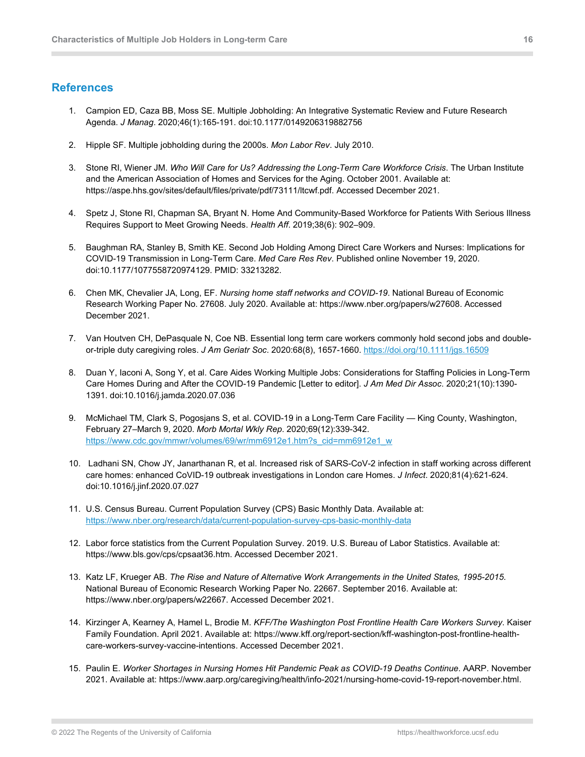#### <span id="page-15-0"></span>**References**

- 1. Campion ED, Caza BB, Moss SE. Multiple Jobholding: An Integrative Systematic Review and Future Research Agenda. *J Manag*. 2020;46(1):165-191. doi:10.1177/0149206319882756
- 2. Hipple SF. Multiple jobholding during the 2000s. *Mon Labor Rev*. July 2010.
- 3. Stone RI, Wiener JM. *Who Will Care for Us? Addressing the Long-Term Care Workforce Crisis*. The Urban Institute and the American Association of Homes and Services for the Aging. October 2001. Available at: https://aspe.hhs.gov/sites/default/files/private/pdf/73111/ltcwf.pdf. Accessed December 2021.
- 4. Spetz J, Stone RI, Chapman SA, Bryant N. Home And Community-Based Workforce for Patients With Serious Illness Requires Support to Meet Growing Needs. *Health Aff*. 2019;38(6): 902–909.
- 5. Baughman RA, Stanley B, Smith KE. Second Job Holding Among Direct Care Workers and Nurses: Implications for COVID-19 Transmission in Long-Term Care. *Med Care Res Rev*. Published online November 19, 2020. doi:10.1177/1077558720974129. PMID: 33213282.
- 6. Chen MK, Chevalier JA, Long, EF. *Nursing home staff networks and COVID-19*. National Bureau of Economic Research Working Paper No. 27608. July 2020. Available at: https://www.nber.org/papers/w27608. Accessed December 2021.
- 7. Van Houtven CH, DePasquale N, Coe NB. Essential long term care workers commonly hold second jobs and doubleor-triple duty caregiving roles. *J Am Geriatr Soc*. 2020:68(8), 1657-1660[. https://doi.org/10.1111/jgs.16509](https://doi.org/10.1111/jgs.16509)
- 8. Duan Y, Iaconi A, Song Y, et al. Care Aides Working Multiple Jobs: Considerations for Staffing Policies in Long-Term Care Homes During and After the COVID-19 Pandemic [Letter to editor]. *J Am Med Dir Assoc*. 2020;21(10):1390- 1391. doi:10.1016/j.jamda.2020.07.036
- 9. McMichael TM, Clark S, Pogosjans S, et al. COVID-19 in a Long-Term Care Facility King County, Washington, February 27–March 9, 2020. *Morb Mortal Wkly Rep*. 2020;69(12):339-342. [https://www.cdc.gov/mmwr/volumes/69/wr/mm6912e1.htm?s\\_cid=mm6912e1\\_w](https://www.cdc.gov/mmwr/volumes/69/wr/mm6912e1.htm?s_cid=mm6912e1_w)
- 10. Ladhani SN, Chow JY, Janarthanan R, et al. Increased risk of SARS-CoV-2 infection in staff working across different care homes: enhanced CoVID-19 outbreak investigations in London care Homes. *J Infect*. 2020;81(4):621-624. doi:10.1016/j.jinf.2020.07.027
- 11. U.S. Census Bureau. Current Population Survey (CPS) Basic Monthly Data. Available at: <https://www.nber.org/research/data/current-population-survey-cps-basic-monthly-data>
- 12. Labor force statistics from the Current Population Survey. 2019. U.S. Bureau of Labor Statistics. Available at: https://www.bls.gov/cps/cpsaat36.htm. Accessed December 2021.
- 13. Katz LF, Krueger AB. *The Rise and Nature of Alternative Work Arrangements in the United States, 1995-2015*. National Bureau of Economic Research Working Paper No. 22667. September 2016. Available at: https://www.nber.org/papers/w22667. Accessed December 2021.
- 14. Kirzinger A, Kearney A, Hamel L, Brodie M. *KFF/The Washington Post Frontline Health Care Workers Survey*. Kaiser Family Foundation. April 2021. Available at: https://www.kff.org/report-section/kff-washington-post-frontline-healthcare-workers-survey-vaccine-intentions. Accessed December 2021.
- 15. Paulin E. *Worker Shortages in Nursing Homes Hit Pandemic Peak as COVID-19 Deaths Continue*. AARP. November 2021. Available at: https://www.aarp.org/caregiving/health/info-2021/nursing-home-covid-19-report-november.html.